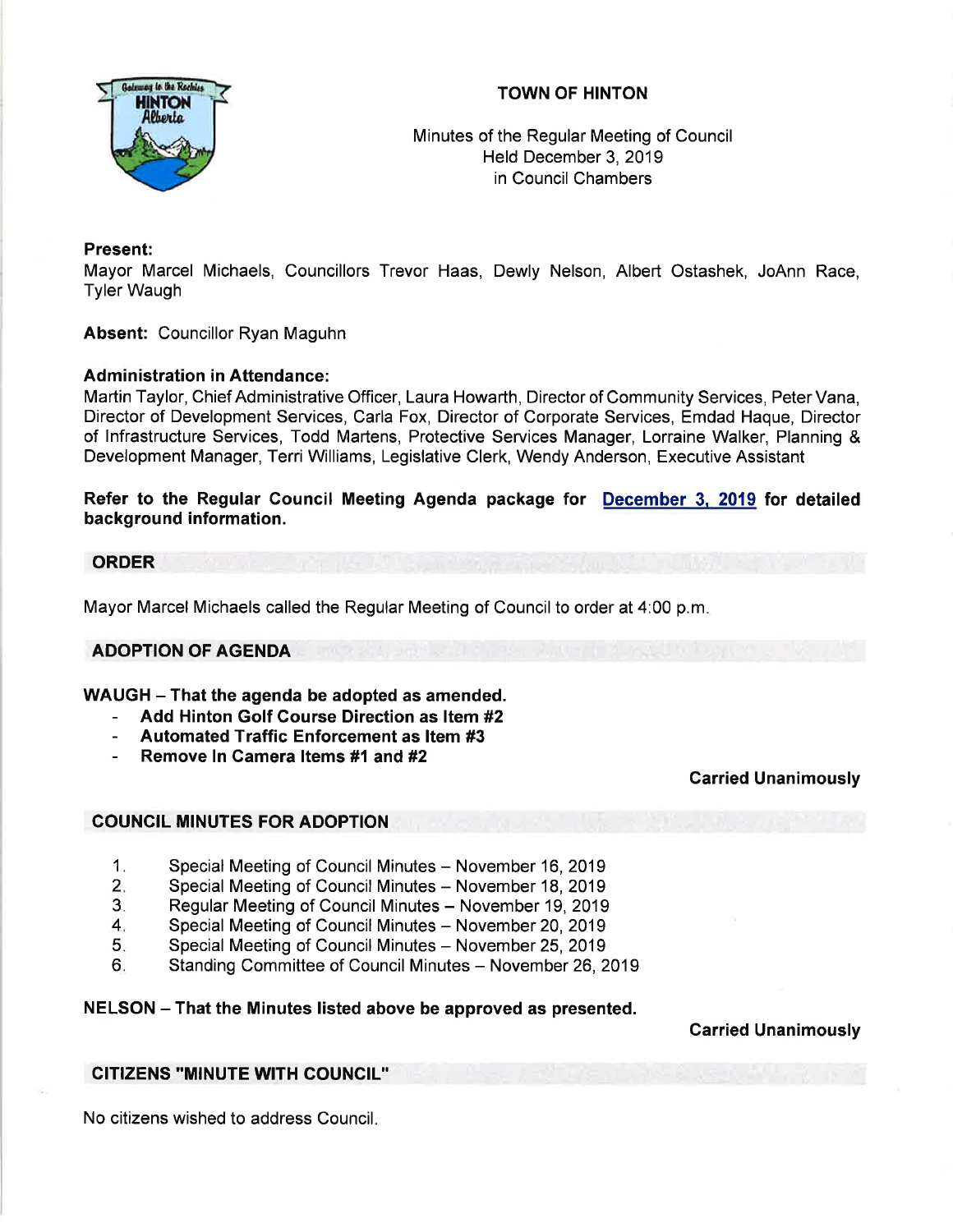

# TOWN OF HINTON

Minutes of the Regular Meeting of Council Held December 3, 2019 in Council Chambers

# Present:

Mayor Marcel Michaels, Councillors Trevor Haas, Dewly Nelson, Albert Ostashek, JoAnn Race, Tyler Waugh

Absent: Councillor Ryan Maguhn

# **Administration in Attendance:**

Martin Taylor, Chief Administrative Officer, Laura Howarth, Director of Community Services, Peter Vana, Director of Development Services, Carla Fox, Director of Corporate Services, Emdad Haque, Director of lnfrastructure Services, Todd Martens, Protective Services Manager, Lorraine Walker, Planning & Development Manager, Terri Williams, Legislative Clerk, Wendy Anderson, Executive Assistant

Refer to the Regular Council Meeting Agenda package for <u>December 3, 2019</u> for detailed background information.

## ORDER

Mayor Marcel Michaels called the Regular Meeting of Council to order at 4:00 p.m

# ADOPTION OF AGENDA

WAUGH - That the agenda be adopted as amended.

- Add Hinton Golf Course Direction as ltem #2
- Automated Traffic Enforcement as ltem #3
- Remove In Camera Items #1 and #2

# Carried Unanimously

# COUNCIL MINUTES FOR ADOPTION

- Special Meeting of Council Minutes November 16, 2019 1
- Special Meeting of Council Minutes November 18, 2019  $2.$
- Regular Meeting of Council Minutes November 19, 2019 3.
- Special Meeting of Council Minutes November 20, 2019 4
- Special Meeting of Council Minutes November 25, 2019 5
- Standing Committee of Council Minutes November 26, 2019  $6<sub>1</sub>$

# NELSON - That the Minutes listed above be approved as presented.

Carried Unanimously

# CITIZENS ''MINUTE WITH COUNCIL"

No citizens wished to address Council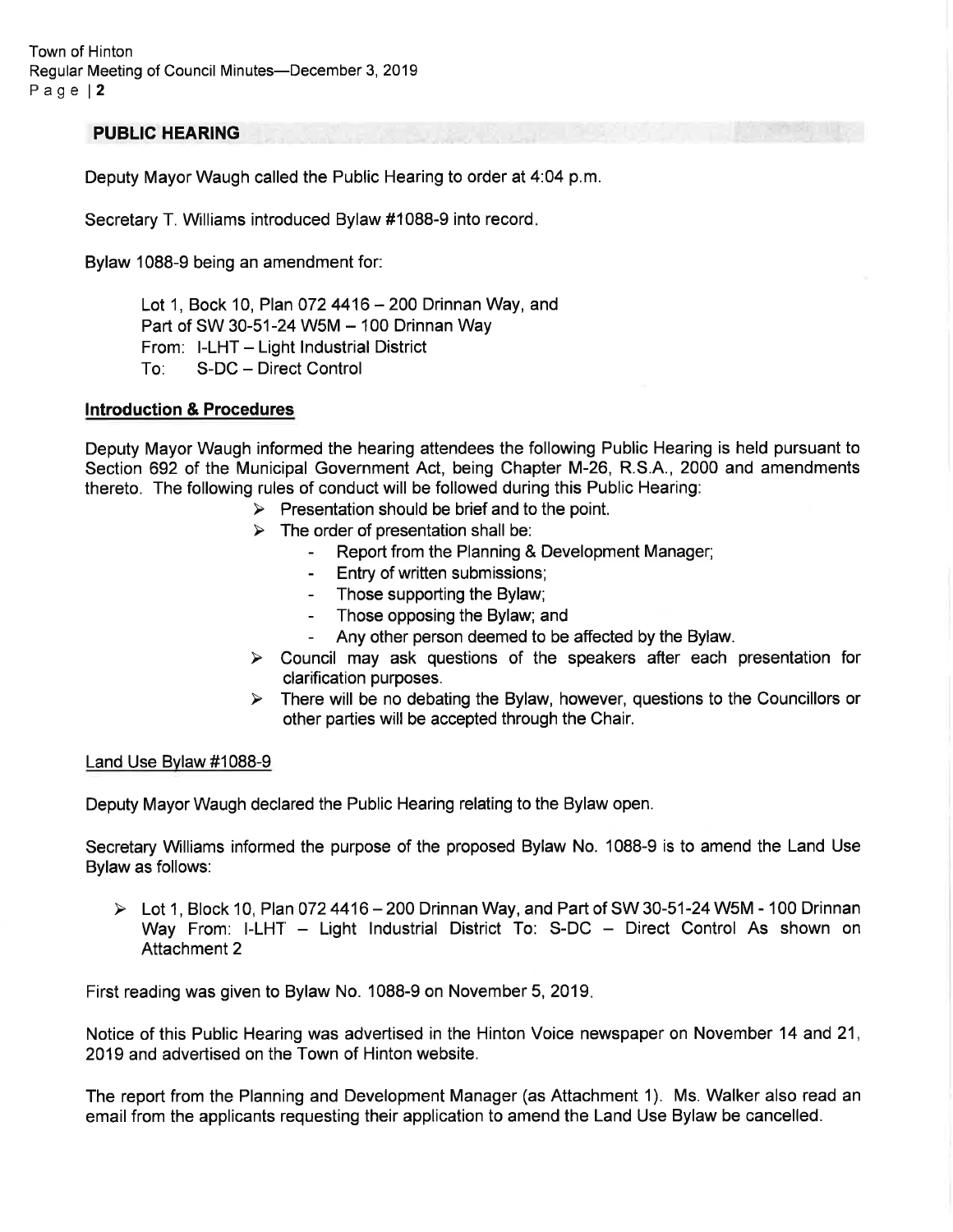Town of Hinton Regular Meeting of Council Minutes-December 3, 2019 Page l2

## PUBLIC HEARING

Deputy Mayor Waugh called the Public Hearing to order at 4:04 p.m.

Secretary T. Williams introduced Bylaw #1088-9 into record

Bylaw 1088-9 being an amendment for:

Lot 1, Bock 10, Plan 072 4416  $-$  200 Drinnan Way, and Part of SW 30-51-24 W5M - 100 Drinnan Way From: I-LHT - Light Industrial District<br>To: S-DC - Direct Control S-DC - Direct Control

### lntroduction & Procedures

Deputy Mayor Waugh informed the hearing attendees the following Public Hearing is held pursuant to Section 692 of the Municipal Government Act, being Chapter M-26, R.S.A., 2000 and amendments thereto. The following rules of conduct will be followed during this Public Hearing:

 $\triangleright$  Presentation should be brief and to the point.

- 
- $\triangleright$  The order of presentation shall be:<br>- Report from the Planning & Development Manager;
	- Entry of written submissions;
	- Those supporting the Bylaw;
	- Those opposing the Bylaw; and
	- Any other person deemed to be affected by the Bylaw.
- $\triangleright$  Council may ask questions of the speakers after each presentation for clarification purposes.
- $\triangleright$  There will be no debating the Bylaw, however, questions to the Councillors or other parties will be accepted through the Chair.

### Land Use Bvlaw #1088-9

Deputy Mayor Waugh declared the Public Hearing relating to the Bylaw open.

Secretary Williams informed the purpose of the proposed Bylaw No. 1088-9 is to amend the Land Use Bylaw as follows:

 $\triangleright$  Lot 1, Block 10, Plan 072 4416 – 200 Drinnan Way, and Part of SW 30-51-24 W5M - 100 Drinnan Way From: I-LHT - Light Industrial District To: S-DC - Direct Control As shown on Attachment 2

First reading was given to Bylaw No. 1088-9 on November 5, 2019

Notice of this Public Hearing was advertised in the Hinton Voice newspaper on November 14 and 21, 2019 and advertised on the Town of Hinton website.

The report from the Planning and Development Manager (as Attachment 1). Ms. Walker also read an email from the applicants requesting their application to amend the Land Use Bylaw be cancelled.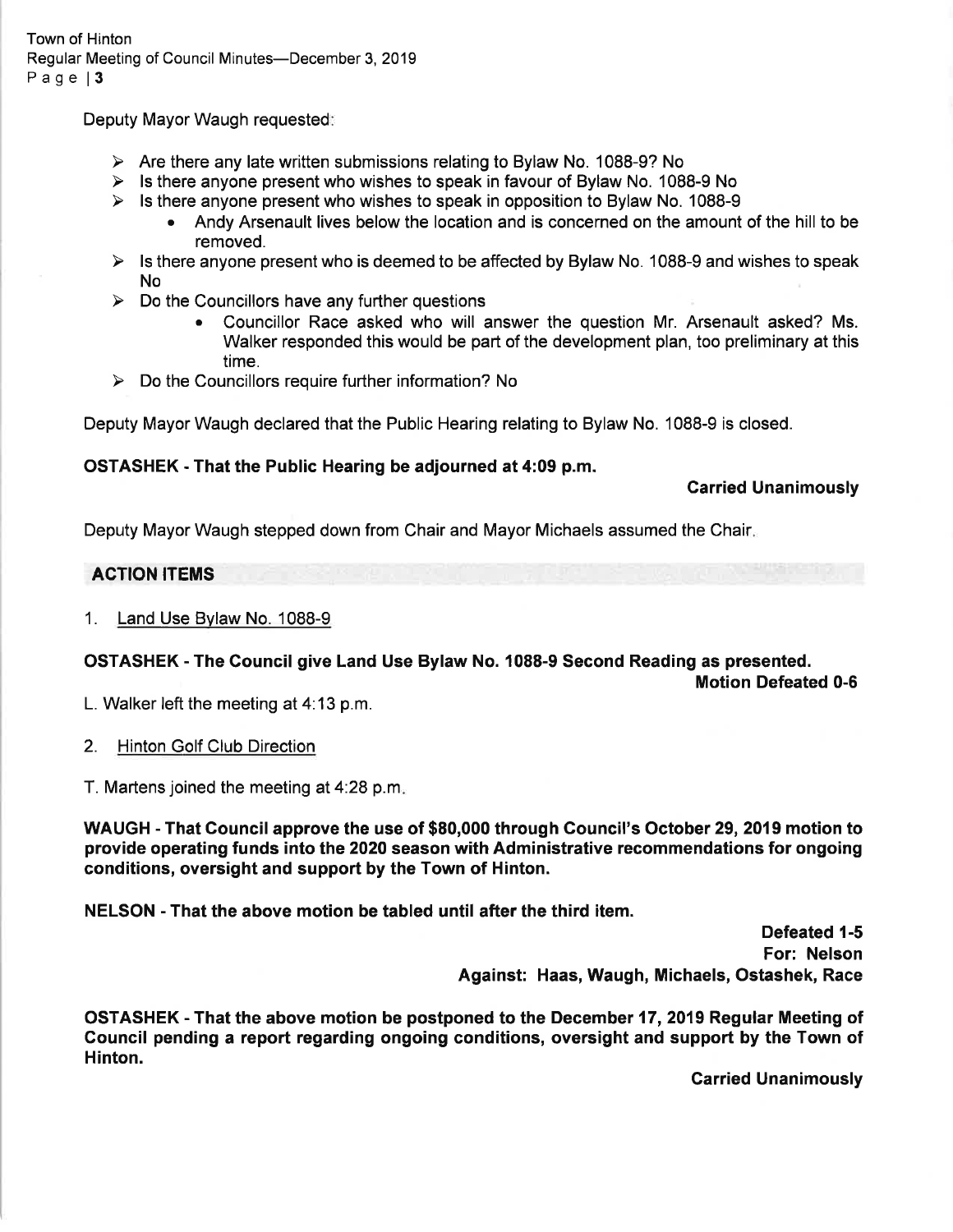Deputy Mayor Waugh requested:

- $\triangleright$  Are there any late written submissions relating to Bylaw No. 1088-9? No
- $\triangleright$  Is there anyone present who wishes to speak in favour of Bylaw No. 1088-9 No
- 
- > Is there anyone present who wishes to speak in opposition to Bylaw No. 1088-9<br>• Andy Arsenault lives below the location and is concerned on the amount of the hill to be removed.
- $\triangleright$  Is there anyone present who is deemed to be affected by Bylaw No. 1088-9 and wishes to speak No
- 
- b. Do the Councillors have any further questions<br>• Councillor Race asked who will answer the question Mr. Arsenault asked? Ms. Walker responded this would be part of the development plan, too preliminary at this time.
- $\triangleright$  Do the Councillors require further information? No

Deputy Mayor Waugh declared that the Public Hearing relating to Bylaw No. 1088-9 is closed.

# OSTASHEK - That the Public Hearing be adjourned at 4:09 p.m.

Carried Unanimously

Deputy Mayor Waugh stepped down from Chair and Mayor Michaels assumed the Chair

# ACTION ITEMS

## 1. Land Use Bvlaw No. 1088-9

# OSTASHEK - The Council give Land Use Bylaw No. 1088-9 Second Reading as presented.

Motion Defeated 0-6

L. Walker left the meeting at  $4:13$  p.m.

2. Hinton Golf Club Direction

T. Martens joined the meeting at  $4:28$  p.m.

WAUGH - That Council approve the use of \$80,000 through Gouncil's October 29,2019 motion to provide operating funds into the 2020 season with Administrative recommendations for ongoing conditions, oversight and support by the Town of Hinton.

NELSON - That the above motion be tabled until after the third item.

Defeated 1-5 For: Nelson Against: Haas, Waugh, Michaels, Ostashek, Race

OSTASHEK - That the above motion be postponed to the December 17,2019 Regular Meeting of Gouncil pending a report regarding ongoing conditions, oversight and support by the Town of Hinton.

Carried Unanimously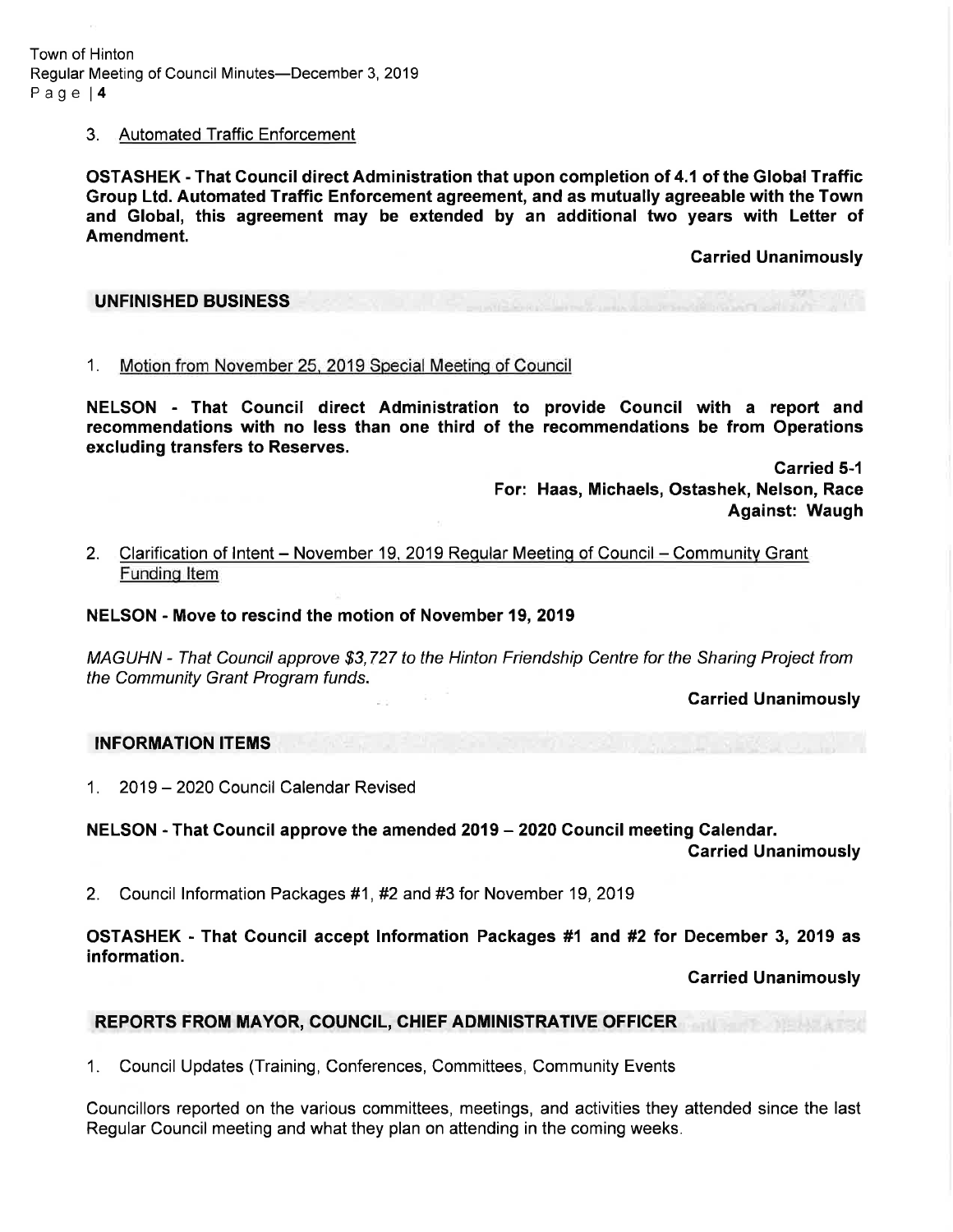Town of Hinton Regular Meeting of Council Minutes-December 3, 2019 Page l4

### 3. Automated Traffic Enforcement

OSTASHEK - That Gouncil direct Administration that upon completion of 4.1 of the Global Traffic Group Ltd. Automated Traffic Enforcement agreement, and as mutually agreeable with the Town and Global, this agreement may be extended by an additional two years with Letter of Amendment.

Carried Unanimously

#### UNFINISHED BUSINESS

1. Motion from November 25, 2019 Special Meetinq of Council

NELSON - That Gouncil direct Administration to provide Council with a report and recommendations with no less than one third of the recommendations be from Operations excluding transfers to Reserves.

> Garried 5-l For: Haas, Michaels, Ostashek, Nelson, Race Against: Waugh

## 2. Clarification of Intent - November 19, 2019 Regular Meeting of Council - Community Grant Fundinq ltem

### NELSON - Move to rescind the motion of November 19, 2019

MAGUHN - That Council approve \$3,727 to the Hinton Friendship Centre for the Sharing Project from the Community Grant Program funds.

**Carried Unanimously** 

### INFORMATION ITEMS

1. 2019 - 2O2O Council Calendar Revised

NELSON - That Council approve the amended 2019 - 2020 Council meeting Calendar.

Garried Unanimously

2. Council lnformation Packages #1,#2 and #3 for November 19,2019

OSTASHEK - That Council accept Information Packages #1 and #2 for December 3, 2019 as information.

Carried Unanimously

## REPORTS FROM MAYOR, COUNCIL, CHIEF ADMINISTRATIVE OFFICER

1. Council Updates (Training, Conferences, Committees, Community Events

Councillors reported on the various committees, meetings, and activities they attended since the last Regular Council meeting and what they plan on attending in the coming weeks.